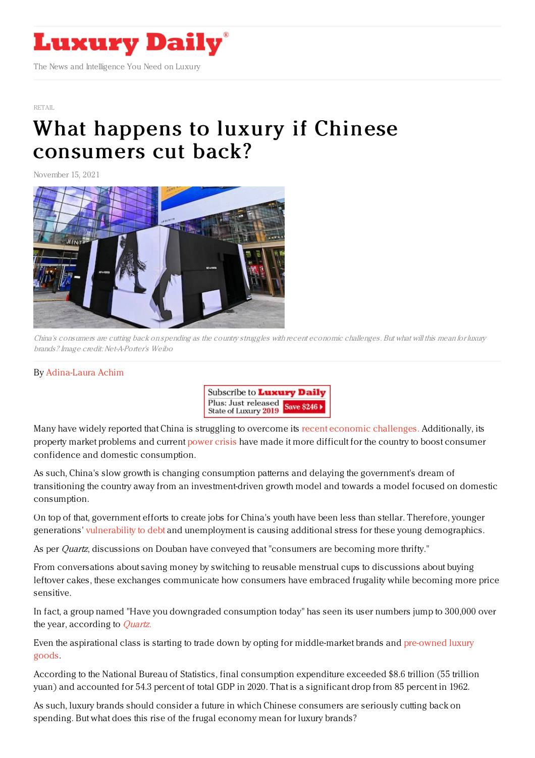

## [RETAIL](https://www.luxurydaily.com/category/sectors/retail-industry-sectors/)

## What happens to luxury if Chinese [consumers](https://www.luxurydaily.com/?p=340519) cut back?

November 15, 2021



China's consumers are cutting back on spending as the country struggles with recent economic challenges. But what will this mean for luxury brands? Image credit: Net-A-Porter's Weibo

## By [Adina-Laura](https://jingdaily.com/author/adina-laura/) Achim



Many have widely reported that China is struggling to overcome its recent economic [challenges.](https://jingdaily.com/china-gross-domestic-product-luxury-hopes/) Additionally, its property market problems and current [power](https://www.scmp.com/economy/china-economy/article/3153998/5-things-you-need-know-about-chinas-power-crisis) crisis have made it more difficult for the country to boost consumer confidence and domestic consumption.

As such, China's slow growth is changing consumption patterns and delaying the government's dream of transitioning the country away from an investment-driven growth model and towards a model focused on domestic consumption.

On top of that, government efforts to create jobs for China's youth have been less than stellar. Therefore, younger generations' [vulnerability](https://jingdaily.com/china-generation-z-debt/) to debt and unemployment is causing additional stress for these young demographics.

As per *Quartz*, discussions on Douban have conveyed that "consumers are becoming more thrifty."

From conversations about saving money by switching to reusable menstrual cups to discussions about buying leftover cakes, these exchanges communicate how consumers have embraced frugality while becoming more price sensitive.

In fact, a group named "Have you downgraded consumption today" has seen its user numbers jump to 300,000 over the year, according to *[Quartz](https://qz.com/2073167/thrifty-consumers-are-becoming-a-worry-for-chinas-economy/)*.

Even the aspirational class is starting to trade down by opting for [middle-market](https://jingdaily.com/chinas-secondhand-luxury-boom-is-here-dont-miss-out/) brands and pre-owned luxury goods.

According to the National Bureau of Statistics, final consumption expenditure exceeded \$8.6 trillion (55 trillion yuan) and accounted for 54.3 percent of total GDP in 2020. That is a significant drop from 85 percent in 1962.

As such, luxury brands should consider a future in which Chinese consumers are seriously cutting back on spending. But what does this rise of the frugal economy mean for luxury brands?